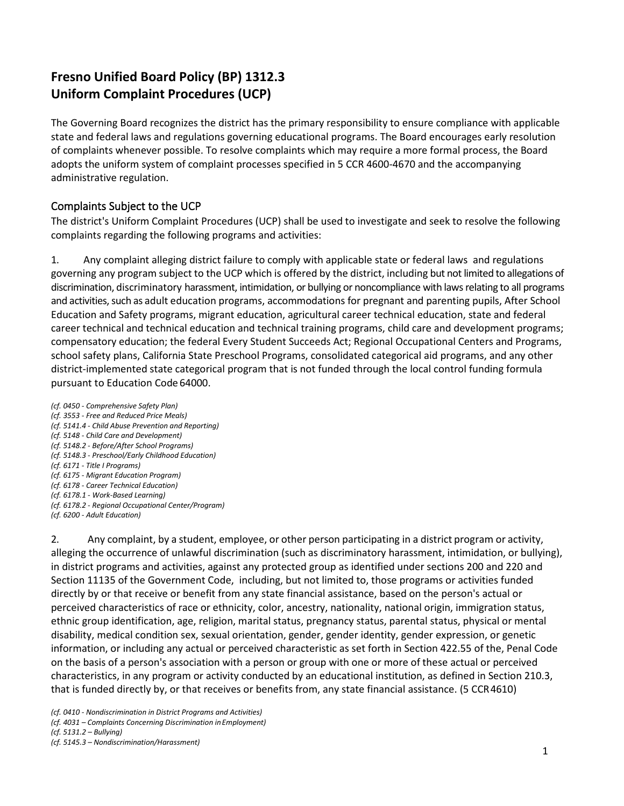# **Fresno Unified Board Policy (BP) 1312.3 Uniform Complaint Procedures (UCP)**

The Governing Board recognizes the district has the primary responsibility to ensure compliance with applicable state and federal laws and regulations governing educational programs. The Board encourages early resolution of complaints whenever possible. To resolve complaints which may require a more formal process, the Board adopts the uniform system of complaint processes specified in 5 CCR 4600-4670 and the accompanying administrative regulation.

# Complaints Subject to the UCP

The district's Uniform Complaint Procedures (UCP) shall be used to investigate and seek to resolve the following complaints regarding the following programs and activities:

1. Any complaint alleging district failure to comply with applicable state or federal laws and regulations governing any program subject to the UCP which is offered by the district, including but not limited to allegations of discrimination, discriminatory harassment, intimidation, or bullying or noncompliance with laws relating to all programs and activities, such as adult education programs, accommodations for pregnant and parenting pupils, After School Education and Safety programs, migrant education, agricultural career technical education, state and federal career technical and technical education and technical training programs, child care and development programs; compensatory education; the federal Every Student Succeeds Act; Regional Occupational Centers and Programs, school safety plans, California State Preschool Programs, consolidated categorical aid programs, and any other district-implemented state categorical program that is not funded through the local control funding formula pursuant to Education Code 64000.

*(cf. 0450 - Comprehensive Safety Plan) (cf. 3553 - Free and Reduced Price Meals) (cf. 5141.4 - Child Abuse Prevention and Reporting) (cf. 5148 - Child Care and Development) (cf. 5148.2 - Before/After School Programs) (cf. 5148.3 - Preschool/Early Childhood Education) (cf. 6171 - Title I Programs) (cf. 6175 - Migrant Education Program) (cf. 6178 - Career Technical Education) (cf. 6178.1 - Work-Based Learning) (cf. 6178.2 - Regional Occupational Center/Program) (cf. 6200 - Adult Education)*

2. Any complaint, by a student, employee, or other person participating in a district program or activity, alleging the occurrence of unlawful discrimination (such as discriminatory harassment, intimidation, or bullying), in district programs and activities, against any protected group as identified under sections 200 and 220 and Section 11135 of the Government Code, including, but not limited to, those programs or activities funded directly by or that receive or benefit from any state financial assistance, based on the person's actual or perceived characteristics of race or ethnicity, color, ancestry, nationality, national origin, immigration status, ethnic group identification, age, religion, marital status, pregnancy status, parental status, physical or mental disability, medical condition sex, sexual orientation, gender, gender identity, gender expression, or genetic information, or including any actual or perceived characteristic as set forth in Section 422.55 of the, Penal Code on the basis of a person's association with a person or group with one or more of these actual or perceived characteristics, in any program or activity conducted by an educational institution, as defined in Section 210.3, that is funded directly by, or that receives or benefits from, any state financial assistance. (5 CCR4610)

*(cf. 5131.2 – Bullying)*

*<sup>(</sup>cf. 0410 - Nondiscrimination in District Programs and Activities)* 

*<sup>(</sup>cf. 4031 – Complaints Concerning Discrimination inEmployment)*

*<sup>(</sup>cf. 5145.3 – Nondiscrimination/Harassment)*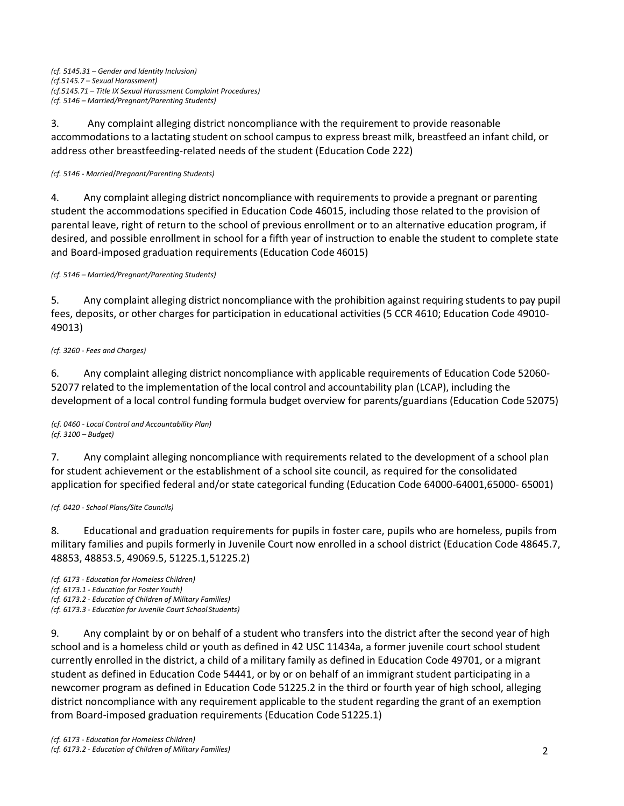3. Any complaint alleging district noncompliance with the requirement to provide reasonable accommodations to a lactating student on school campus to express breast milk, breastfeed an infant child, or address other breastfeeding-related needs of the student (Education Code 222)

### *(cf. 5146 - Married*/*Pregnant/Parenting Students)*

4. Any complaint alleging district noncompliance with requirementsto provide a pregnant or parenting student the accommodations specified in Education Code 46015, including those related to the provision of parental leave, right of return to the school of previous enrollment or to an alternative education program, if desired, and possible enrollment in school for a fifth year of instruction to enable the student to complete state and Board-imposed graduation requirements (Education Code 46015)

*(cf. 5146 – Married/Pregnant/Parenting Students)*

5. Any complaint alleging district noncompliance with the prohibition against requiring students to pay pupil fees, deposits, or other charges for participation in educational activities (5 CCR 4610; Education Code 49010- 49013)

## *(cf. 3260 - Fees and Charges)*

6. Any complaint alleging district noncompliance with applicable requirements of Education Code 52060- 52077 related to the implementation of the local control and accountability plan (LCAP), including the development of a local control funding formula budget overview for parents/guardians (Education Code 52075)

*(cf. 0460 - Local Control and Accountability Plan) (cf. 3100 – Budget)*

7. Any complaint alleging noncompliance with requirements related to the development of a school plan for student achievement or the establishment of a school site council, as required for the consolidated application for specified federal and/or state categorical funding (Education Code 64000-64001,65000- 65001)

*(cf. 0420 - School Plans/Site Councils)*

8. Educational and graduation requirements for pupils in foster care, pupils who are homeless, pupils from military families and pupils formerly in Juvenile Court now enrolled in a school district (Education Code 48645.7, 48853, 48853.5, 49069.5, 51225.1,51225.2)

*(cf. 6173 - Education for Homeless Children) (cf. 6173.1 - Education for Foster Youth) (cf. 6173.2 - Education of Children of Military Families) (cf. 6173.3 - Education for Juvenile Court School Students)*

9. Any complaint by or on behalf of a student who transfers into the district after the second year of high school and is a homeless child or youth as defined in 42 USC 11434a, a former juvenile court school student currently enrolled in the district, a child of a military family as defined in Education Code 49701, or a migrant student as defined in Education Code 54441, or by or on behalf of an immigrant student participating in a newcomer program as defined in Education Code 51225.2 in the third or fourth year of high school, alleging district noncompliance with any requirement applicable to the student regarding the grant of an exemption from Board-imposed graduation requirements (Education Code 51225.1)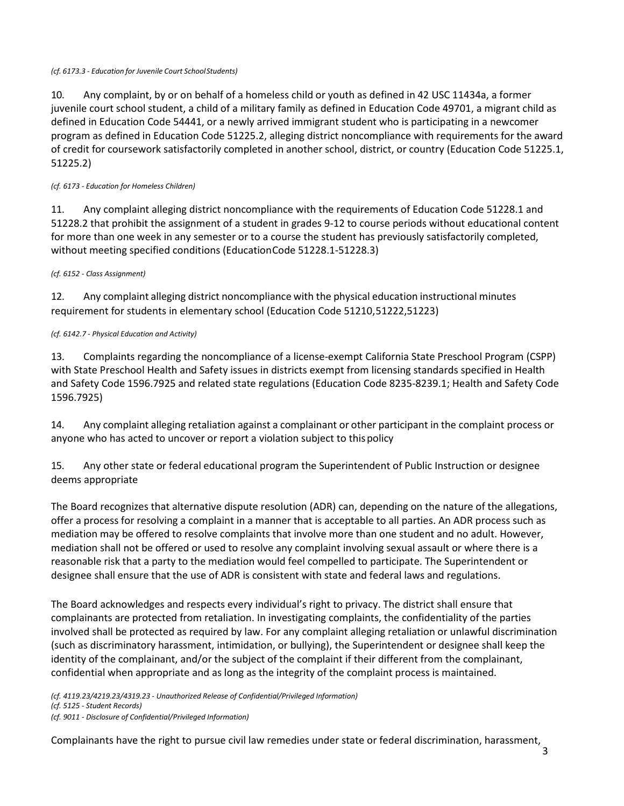#### *(cf. 6173.3 - Education for Juvenile Court SchoolStudents)*

10. Any complaint, by or on behalf of a homeless child or youth as defined in 42 USC 11434a, a former juvenile court school student, a child of a military family as defined in Education Code 49701, a migrant child as defined in Education Code 54441, or a newly arrived immigrant student who is participating in a newcomer program as defined in Education Code 51225.2, alleging district noncompliance with requirements for the award of credit for coursework satisfactorily completed in another school, district, or country (Education Code 51225.1, 51225.2)

### *(cf. 6173 - Education for Homeless Children)*

11. Any complaint alleging district noncompliance with the requirements of Education Code 51228.1 and 51228.2 that prohibit the assignment of a student in grades 9-12 to course periods without educational content for more than one week in any semester or to a course the student has previously satisfactorily completed, without meeting specified conditions (EducationCode 51228.1-51228.3)

### *(cf. 6152 - Class Assignment)*

12. Any complaint alleging district noncompliance with the physical education instructional minutes requirement for students in elementary school (Education Code 51210,51222,51223)

### *(cf. 6142.7 - Physical Education and Activity)*

13. Complaints regarding the noncompliance of a license-exempt California State Preschool Program (CSPP) with State Preschool Health and Safety issues in districts exempt from licensing standards specified in Health and Safety Code 1596.7925 and related state regulations (Education Code 8235-8239.1; Health and Safety Code 1596.7925)

14. Any complaint alleging retaliation against a complainant or other participant in the complaint process or anyone who has acted to uncover or report a violation subject to thispolicy

15. Any other state or federal educational program the Superintendent of Public Instruction or designee deems appropriate

The Board recognizes that alternative dispute resolution (ADR) can, depending on the nature of the allegations, offer a process for resolving a complaint in a manner that is acceptable to all parties. An ADR process such as mediation may be offered to resolve complaints that involve more than one student and no adult. However, mediation shall not be offered or used to resolve any complaint involving sexual assault or where there is a reasonable risk that a party to the mediation would feel compelled to participate. The Superintendent or designee shall ensure that the use of ADR is consistent with state and federal laws and regulations.

The Board acknowledges and respects every individual's right to privacy. The district shall ensure that complainants are protected from retaliation. In investigating complaints, the confidentiality of the parties involved shall be protected as required by law. For any complaint alleging retaliation or unlawful discrimination (such as discriminatory harassment, intimidation, or bullying), the Superintendent or designee shall keep the identity of the complainant, and/or the subject of the complaint if their different from the complainant, confidential when appropriate and as long as the integrity of the complaint process is maintained.

*(cf. 4119.23/4219.23/4319.23 - Unauthorized Release of Confidential/Privileged Information)* 

*(cf. 5125 - Student Records)*

*(cf. 9011 - Disclosure of Confidential/Privileged Information)*

Complainants have the right to pursue civil law remedies under state or federal discrimination, harassment,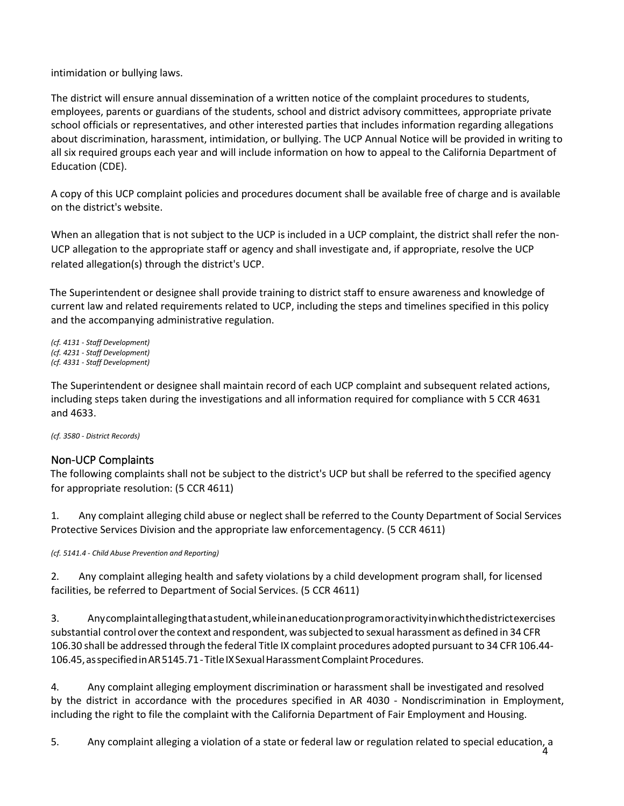intimidation or bullying laws.

The district will ensure annual dissemination of a written notice of the complaint procedures to students, employees, parents or guardians of the students, school and district advisory committees, appropriate private school officials or representatives, and other interested parties that includes information regarding allegations about discrimination, harassment, intimidation, or bullying. The UCP Annual Notice will be provided in writing to all six required groups each year and will include information on how to appeal to the California Department of Education (CDE).

A copy of this UCP complaint policies and procedures document shall be available free of charge and is available on the district's website.

When an allegation that is not subject to the UCP is included in a UCP complaint, the district shall refer the non-UCP allegation to the appropriate staff or agency and shall investigate and, if appropriate, resolve the UCP related allegation(s) through the district's UCP.

The Superintendent or designee shall provide training to district staff to ensure awareness and knowledge of current law and related requirements related to UCP, including the steps and timelines specified in this policy and the accompanying administrative regulation.

*(cf. 4131 - Staff Development) (cf. 4231 - Staff Development) (cf. 4331 - Staff Development)*

The Superintendent or designee shall maintain record of each UCP complaint and subsequent related actions, including steps taken during the investigations and all information required for compliance with 5 CCR 4631 and 4633.

*(cf. 3580 - District Records)*

## Non-UCP Complaints

The following complaints shall not be subject to the district's UCP but shall be referred to the specified agency for appropriate resolution: (5 CCR 4611)

1. Any complaint alleging child abuse or neglect shall be referred to the County Department of Social Services Protective Services Division and the appropriate law enforcementagency. (5 CCR 4611)

*(cf. 5141.4 - Child Abuse Prevention and Reporting)*

2. Any complaint alleging health and safety violations by a child development program shall, for licensed facilities, be referred to Department of Social Services. (5 CCR 4611)

3. Anycomplaintallegingthatastudent,whileinaneducationprogramoractivityinwhichthedistrictexercises substantial control overthe context and respondent, wassubjected to sexual harassment as defined in 34 CFR 106.30 shall be addressed through the federal Title IX complaint procedures adopted pursuant to 34 CFR 106.44- 106.45,asspecifiedinAR5145.71-TitleIXSexualHarassmentComplaintProcedures.

4. Any complaint alleging employment discrimination or harassment shall be investigated and resolved by the district in accordance with the procedures specified in AR 4030 - Nondiscrimination in Employment, including the right to file the complaint with the California Department of Fair Employment and Housing.

 $\frac{1}{4}$ 5. Any complaint alleging a violation of a state or federal law or regulation related to special education, a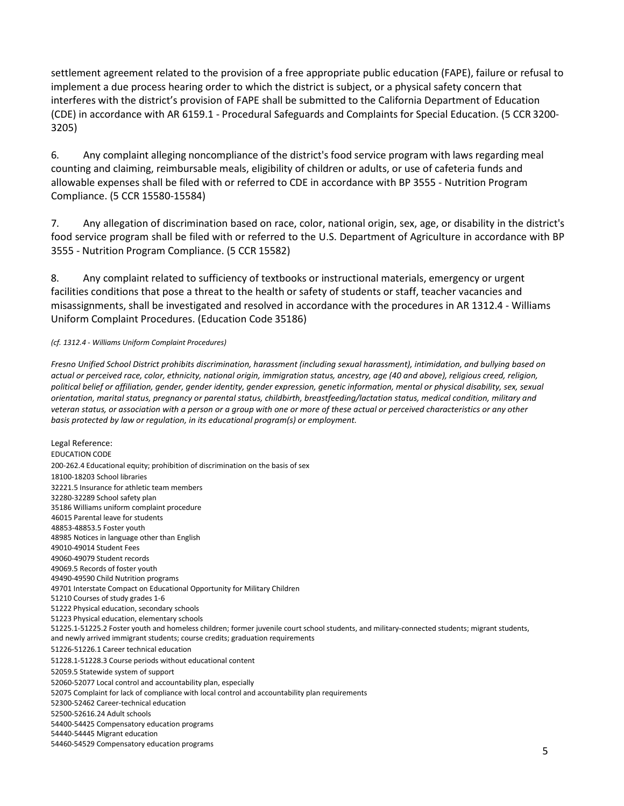settlement agreement related to the provision of a free appropriate public education (FAPE), failure or refusal to implement a due process hearing order to which the district is subject, or a physical safety concern that interferes with the district's provision of FAPE shall be submitted to the California Department of Education (CDE) in accordance with AR 6159.1 - Procedural Safeguards and Complaints for Special Education. (5 CCR 3200- 3205)

6. Any complaint alleging noncompliance of the district's food service program with laws regarding meal counting and claiming, reimbursable meals, eligibility of children or adults, or use of cafeteria funds and allowable expenses shall be filed with or referred to CDE in accordance with BP 3555 - Nutrition Program Compliance. (5 CCR 15580-15584)

7. Any allegation of discrimination based on race, color, national origin, sex, age, or disability in the district's food service program shall be filed with or referred to the U.S. Department of Agriculture in accordance with BP 3555 - Nutrition Program Compliance. (5 CCR 15582)

8. Any complaint related to sufficiency of textbooks or instructional materials, emergency or urgent facilities conditions that pose a threat to the health or safety of students or staff, teacher vacancies and misassignments, shall be investigated and resolved in accordance with the procedures in AR 1312.4 - Williams Uniform Complaint Procedures. (Education Code 35186)

#### *(cf. 1312.4 - Williams Uniform Complaint Procedures)*

*Fresno Unified School District prohibits discrimination, harassment (including sexual harassment), intimidation, and bullying based on actual or perceived race, color, ethnicity, national origin, immigration status, ancestry, age (40 and above), religious creed, religion, political belief or affiliation, gender, gender identity, gender expression, genetic information, mental or physical disability, sex, sexual orientation, marital status, pregnancy or parental status, childbirth, breastfeeding/lactation status, medical condition, military and veteran status, or association with a person or a group with one or more of these actual or perceived characteristics or any other basis protected by law or regulation, in its educational program(s) or employment.*

Legal Reference: EDUCATION CODE 200-262.4 Educational equity; prohibition of discrimination on the basis of sex 18100-18203 School libraries 32221.5 Insurance for athletic team members 32280-32289 School safety plan 35186 Williams uniform complaint procedure 46015 Parental leave for students 48853-48853.5 Foster youth 48985 Notices in language other than English 49010-49014 Student Fees 49060-49079 Student records 49069.5 Records of foster youth 49490-49590 Child Nutrition programs 49701 Interstate Compact on Educational Opportunity for Military Children 51210 Courses of study grades 1-6 51222 Physical education, secondary schools 51223 Physical education, elementary schools 51225.1-51225.2 Foster youth and homeless children; former juvenile court school students, and military-connected students; migrant students, and newly arrived immigrant students; course credits; graduation requirements 51226-51226.1 Career technical education 51228.1-51228.3 Course periods without educational content 52059.5 Statewide system of support 52060-52077 Local control and accountability plan, especially 52075 Complaint for lack of compliance with local control and accountability plan requirements 52300-52462 Career-technical education 52500-52616.24 Adult schools 54400-54425 Compensatory education programs 54440-54445 Migrant education

54460-54529 Compensatory education programs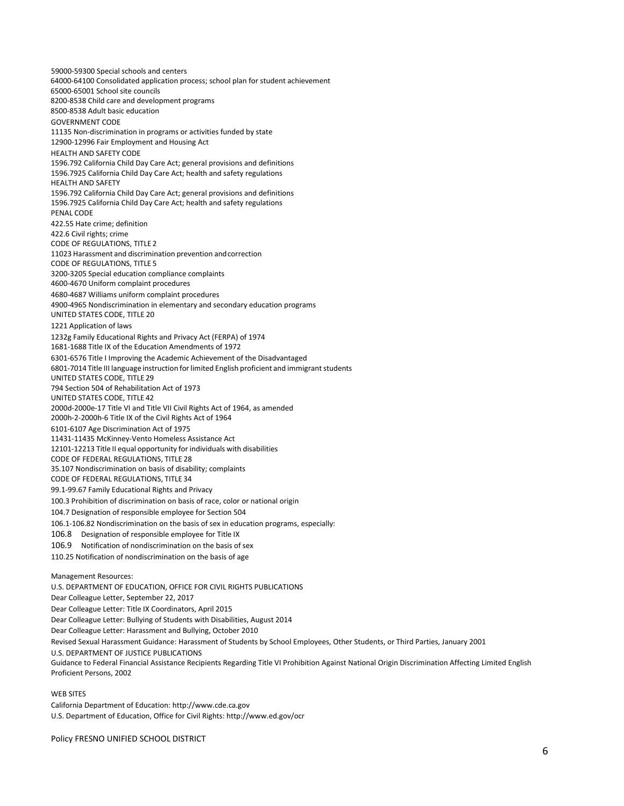59000-59300 Special schools and centers 64000-64100 Consolidated application process; school plan for student achievement 65000-65001 School site councils 8200-8538 Child care and development programs 8500-8538 Adult basic education GOVERNMENT CODE 11135 Non-discrimination in programs or activities funded by state 12900-12996 Fair Employment and Housing Act HEALTH AND SAFETY CODE 1596.792 California Child Day Care Act; general provisions and definitions 1596.7925 California Child Day Care Act; health and safety regulations HEALTH AND SAFETY 1596.792 California Child Day Care Act; general provisions and definitions 1596.7925 California Child Day Care Act; health and safety regulations PENAL CODE 422.55 Hate crime; definition 422.6 Civil rights; crime CODE OF REGULATIONS, TITLE 2 11023 Harassment and discrimination prevention andcorrection CODE OF REGULATIONS, TITLE 5 3200-3205 Special education compliance complaints 4600-4670 Uniform complaint procedures 4680-4687 Williams uniform complaint procedures 4900-4965 Nondiscrimination in elementary and secondary education programs UNITED STATES CODE, TITLE 20 1221 Application of laws 1232g Family Educational Rights and Privacy Act (FERPA) of 1974 1681-1688 Title IX of the Education Amendments of 1972 6301-6576 Title I Improving the Academic Achievement of the Disadvantaged 6801-7014 Title III language instruction for limited English proficient and immigrant students UNITED STATES CODE, TITLE 29 794 Section 504 of Rehabilitation Act of 1973 UNITED STATES CODE, TITLE 42 2000d-2000e-17 Title VI and Title VII Civil Rights Act of 1964, as amended 2000h-2-2000h-6 Title IX of the Civil Rights Act of 1964 6101-6107 Age Discrimination Act of 1975 11431-11435 McKinney-Vento Homeless Assistance Act 12101-12213 Title II equal opportunity for individuals with disabilities CODE OF FEDERAL REGULATIONS, TITLE 28 35.107 Nondiscrimination on basis of disability; complaints CODE OF FEDERAL REGULATIONS, TITLE 34 99.1-99.67 Family Educational Rights and Privacy 100.3 Prohibition of discrimination on basis of race, color or national origin 104.7 Designation of responsible employee for Section 504 106.1-106.82 Nondiscrimination on the basis of sex in education programs, especially: 106.8 Designation of responsible employee for Title IX 106.9 Notification of nondiscrimination on the basis of sex 110.25 Notification of nondiscrimination on the basis of age Management Resources: U.S. DEPARTMENT OF EDUCATION, OFFICE FOR CIVIL RIGHTS PUBLICATIONS

Dear Colleague Letter, September 22, 2017 Dear Colleague Letter: Title IX Coordinators, April 2015

Dear Colleague Letter: Bullying of Students with Disabilities, August 2014

Dear Colleague Letter: Harassment and Bullying, October 2010

Revised Sexual Harassment Guidance: Harassment of Students by School Employees, Other Students, or Third Parties, January 2001

U.S. DEPARTMENT OF JUSTICE PUBLICATIONS

Guidance to Federal Financial Assistance Recipients Regarding Title VI Prohibition Against National Origin Discrimination Affecting Limited English Proficient Persons, 2002

#### WEB SITES

California Department of Education[: http://www.cde.ca.gov](http://www.cde.ca.gov/) U.S. Department of Education, Office for Civil Rights[: http://www.ed.gov/ocr](http://www.ed.gov/ocr)

Policy FRESNO UNIFIED SCHOOL DISTRICT